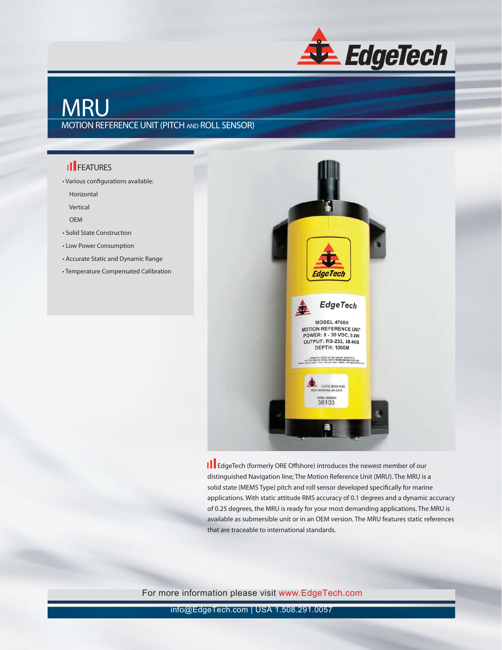

# **MRU**

#### MOTION REFERENCE UNIT (PITCH AND ROLL SENSOR)

### **II** FEATURES

• Various configurations available:

Horizontal

Vertical

OEM

- Solid State Construction
- Low Power Consumption
- Accurate Static and Dynamic Range
- Temperature Compensated Calibration



**III** EdgeTech (formerly ORE Offshore) introduces the newest member of our distinguished Navigation line; The Motion Reference Unit (MRU). The MRU is a solid state (MEMS Type) pitch and roll sensor developed specifically for marine applications. With static attitude RMS accuracy of 0.1 degrees and a dynamic accuracy of 0.25 degrees, the MRU is ready for your most demanding applications. The MRU is available as submersible unit or in an OEM version. The MRU features static references that are traceable to international standards.

For more information please visit www.EdgeTech.com

info@EdgeTech.com | USA 1.508.291.0057